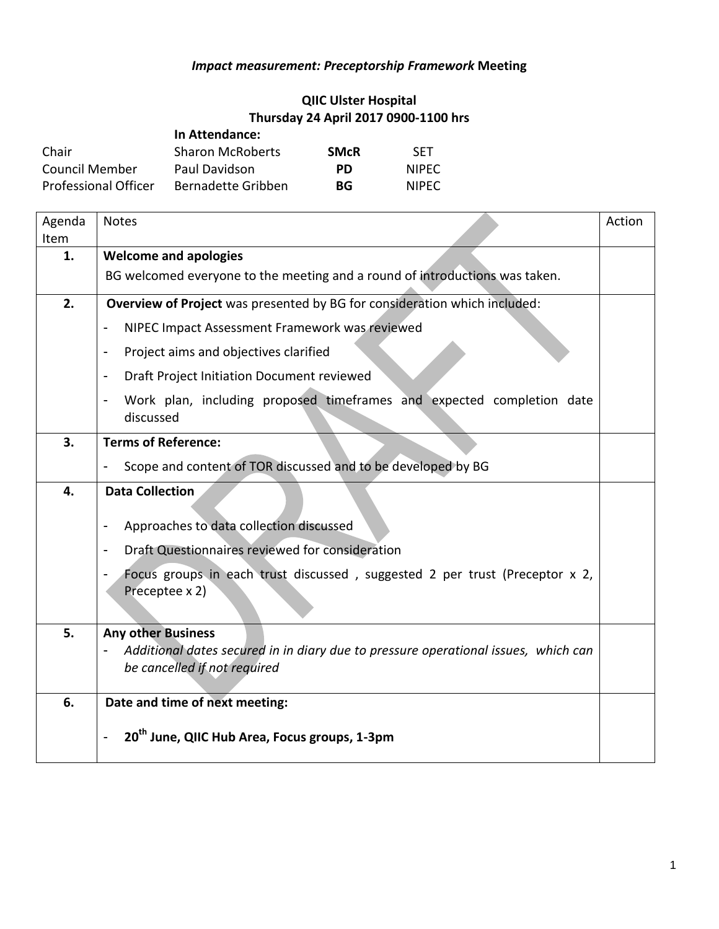## *Impact measurement: Preceptorship Framework* **Meeting**

## **QIIC Ulster Hospital Thursday 24 April 2017 0900-1100 hrs**

|                             | In Attendance:          |             |              |
|-----------------------------|-------------------------|-------------|--------------|
| Chair                       | <b>Sharon McRoberts</b> | <b>SMcR</b> | <b>SFT</b>   |
| Council Member              | Paul Davidson           | <b>PD</b>   | <b>NIPEC</b> |
| <b>Professional Officer</b> | Bernadette Gribben      | BG          | <b>NIPFC</b> |

| Agenda | <b>Notes</b>                                                                                                   | Action |  |
|--------|----------------------------------------------------------------------------------------------------------------|--------|--|
| Item   |                                                                                                                |        |  |
| 1.     | <b>Welcome and apologies</b>                                                                                   |        |  |
|        | BG welcomed everyone to the meeting and a round of introductions was taken.                                    |        |  |
| 2.     | Overview of Project was presented by BG for consideration which included:                                      |        |  |
|        | NIPEC Impact Assessment Framework was reviewed                                                                 |        |  |
|        | Project aims and objectives clarified<br>$\qquad \qquad \blacksquare$                                          |        |  |
|        | Draft Project Initiation Document reviewed<br>$\overline{\phantom{a}}$                                         |        |  |
|        | Work plan, including proposed timeframes and expected completion date<br>$\overline{\phantom{a}}$<br>discussed |        |  |
| 3.     | <b>Terms of Reference:</b>                                                                                     |        |  |
|        | Scope and content of TOR discussed and to be developed by BG<br>$\overline{\phantom{a}}$                       |        |  |
| 4.     | <b>Data Collection</b>                                                                                         |        |  |
|        | Approaches to data collection discussed<br>$\overline{\phantom{a}}$                                            |        |  |
|        | Draft Questionnaires reviewed for consideration<br>$\blacksquare$                                              |        |  |
|        | Focus groups in each trust discussed, suggested 2 per trust (Preceptor x 2,<br>$\overline{\phantom{a}}$        |        |  |
|        | Preceptee x 2)                                                                                                 |        |  |
| 5.     | <b>Any other Business</b>                                                                                      |        |  |
|        | Additional dates secured in in diary due to pressure operational issues, which can                             |        |  |
|        | be cancelled if not required                                                                                   |        |  |
|        |                                                                                                                |        |  |
| 6.     | Date and time of next meeting:                                                                                 |        |  |
|        | 20 <sup>th</sup> June, QIIC Hub Area, Focus groups, 1-3pm                                                      |        |  |